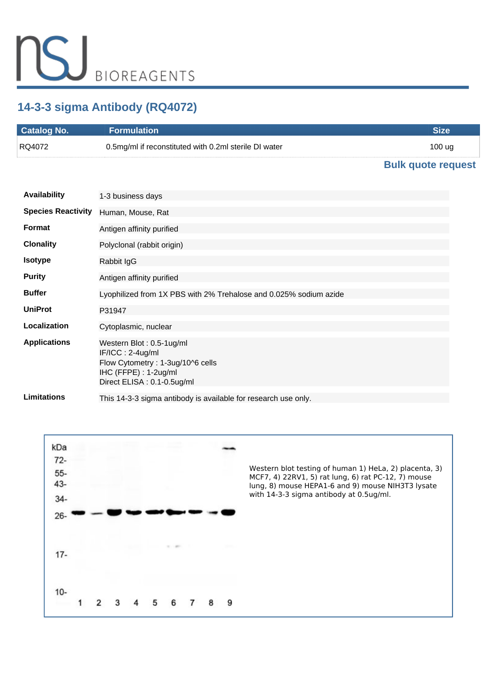# **14-3-3 sigma Antibody (RQ4072)**

| <b>Catalog No.</b> | <b>Formulation</b>                                    |        |
|--------------------|-------------------------------------------------------|--------|
| RQ4072             | 0.5mg/ml if reconstituted with 0.2ml sterile DI water | 100 ug |
|                    |                                                       |        |

## **[Bulk quote request](https://www.nsjbio.com/bulk_quotereq.php?root_cat_no=RQ4072)**

| <b>Availability</b>       | 1-3 business days                                                                                                                          |
|---------------------------|--------------------------------------------------------------------------------------------------------------------------------------------|
| <b>Species Reactivity</b> | Human, Mouse, Rat                                                                                                                          |
| <b>Format</b>             | Antigen affinity purified                                                                                                                  |
| <b>Clonality</b>          | Polyclonal (rabbit origin)                                                                                                                 |
| <b>Isotype</b>            | Rabbit IgG                                                                                                                                 |
| <b>Purity</b>             | Antigen affinity purified                                                                                                                  |
| <b>Buffer</b>             | Lyophilized from 1X PBS with 2% Trehalose and 0.025% sodium azide                                                                          |
| <b>UniProt</b>            | P31947                                                                                                                                     |
| Localization              | Cytoplasmic, nuclear                                                                                                                       |
| <b>Applications</b>       | Western Blot: 0.5-1ug/ml<br>$IF/ICC: 2-4ug/ml$<br>Flow Cytometry: 1-3ug/10^6 cells<br>IHC (FFPE) : 1-2ug/ml<br>Direct ELISA : 0.1-0.5ug/ml |
| <b>Limitations</b>        | This 14-3-3 sigma antibody is available for research use only.                                                                             |

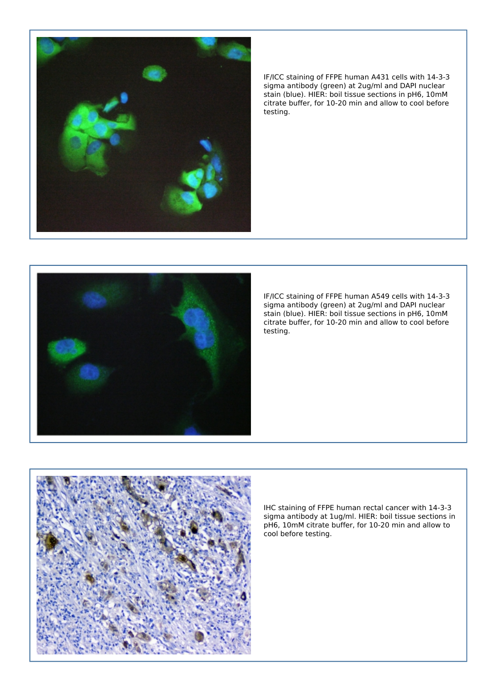

*IF/ICC staining of FFPE human A431 cells with 14-3-3 sigma antibody (green) at 2ug/ml and DAPI nuclear stain (blue). HIER: boil tissue sections in pH6, 10mM citrate buffer, for 10-20 min and allow to cool before testing.*



*IF/ICC staining of FFPE human A549 cells with 14-3-3 sigma antibody (green) at 2ug/ml and DAPI nuclear stain (blue). HIER: boil tissue sections in pH6, 10mM citrate buffer, for 10-20 min and allow to cool before testing.*



*IHC staining of FFPE human rectal cancer with 14-3-3 sigma antibody at 1ug/ml. HIER: boil tissue sections in pH6, 10mM citrate buffer, for 10-20 min and allow to cool before testing.*